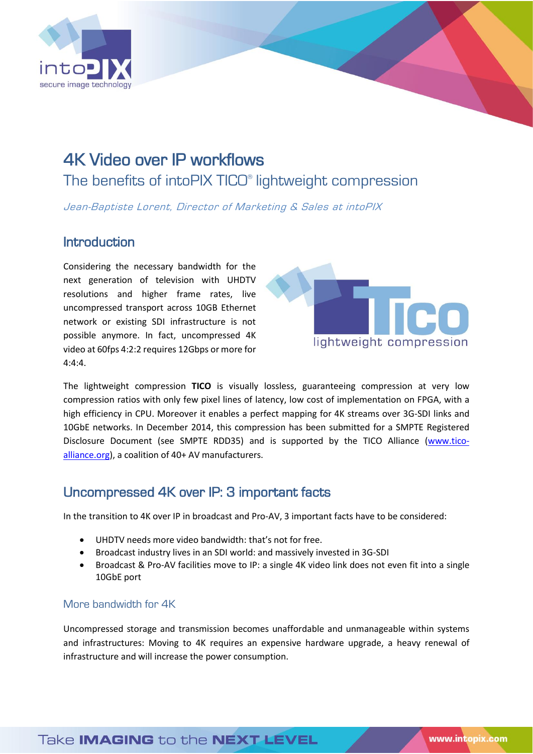

# 4K Video over IP workflows The benefits of intoPIX TICO® lightweight compression

Jean-Baptiste Lorent, Director of Marketing & Sales at intoPIX

### Introduction

Considering the necessary bandwidth for the next generation of television with UHDTV resolutions and higher frame rates, live uncompressed transport across 10GB Ethernet network or existing SDI infrastructure is not possible anymore. In fact, uncompressed 4K video at 60fps 4:2:2 requires 12Gbps or more for 4:4:4.



The lightweight compression **TICO** is visually lossless, guaranteeing compression at very low compression ratios with only few pixel lines of latency, low cost of implementation on FPGA, with a high efficiency in CPU. Moreover it enables a perfect mapping for 4K streams over 3G-SDI links and 10GbE networks. In December 2014, this compression has been submitted for a SMPTE Registered Disclosure Document (see SMPTE RDD35) and is supported by the TICO Alliance [\(www.tico](http://www.tico-alliance.org/)[alliance.org\)](http://www.tico-alliance.org/), a coalition of 40+ AV manufacturers.

## Uncompressed 4K over IP: 3 important facts

In the transition to 4K over IP in broadcast and Pro-AV, 3 important facts have to be considered:

- UHDTV needs more video bandwidth: that's not for free.
- Broadcast industry lives in an SDI world: and massively invested in 3G-SDI
- Broadcast & Pro-AV facilities move to IP: a single 4K video link does not even fit into a single 10GbE port

#### More bandwidth for 4K

Uncompressed storage and transmission becomes unaffordable and unmanageable within systems and infrastructures: Moving to 4K requires an expensive hardware upgrade, a heavy renewal of infrastructure and will increase the power consumption.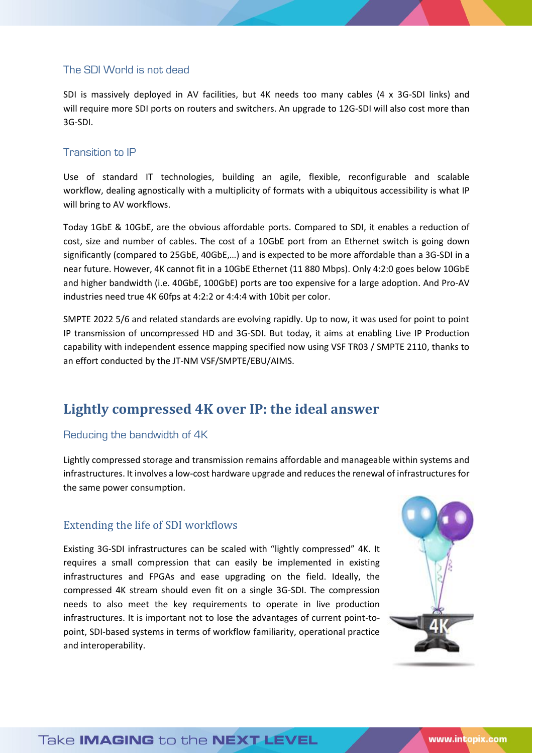#### The SDI World is not dead

SDI is massively deployed in AV facilities, but 4K needs too many cables (4 x 3G-SDI links) and will require more SDI ports on routers and switchers. An upgrade to 12G-SDI will also cost more than 3G-SDI.

#### Transition to IP

Use of standard IT technologies, building an agile, flexible, reconfigurable and scalable workflow, dealing agnostically with a multiplicity of formats with a ubiquitous accessibility is what IP will bring to AV workflows.

Today 1GbE & 10GbE, are the obvious affordable ports. Compared to SDI, it enables a reduction of cost, size and number of cables. The cost of a 10GbE port from an Ethernet switch is going down significantly (compared to 25GbE, 40GbE,…) and is expected to be more affordable than a 3G-SDI in a near future. However, 4K cannot fit in a 10GbE Ethernet (11 880 Mbps). Only 4:2:0 goes below 10GbE and higher bandwidth (i.e. 40GbE, 100GbE) ports are too expensive for a large adoption. And Pro-AV industries need true 4K 60fps at 4:2:2 or 4:4:4 with 10bit per color.

SMPTE 2022 5/6 and related standards are evolving rapidly. Up to now, it was used for point to point IP transmission of uncompressed HD and 3G-SDI. But today, it aims at enabling Live IP Production capability with independent essence mapping specified now using VSF TR03 / SMPTE 2110, thanks to an effort conducted by the JT-NM VSF/SMPTE/EBU/AIMS.

## **Lightly compressed 4K over IP: the ideal answer**

#### Reducing the bandwidth of 4K

Lightly compressed storage and transmission remains affordable and manageable within systems and infrastructures. It involves a low-cost hardware upgrade and reduces the renewal of infrastructures for the same power consumption.

#### Extending the life of SDI workflows

Existing 3G-SDI infrastructures can be scaled with "lightly compressed" 4K. It requires a small compression that can easily be implemented in existing infrastructures and FPGAs and ease upgrading on the field. Ideally, the compressed 4K stream should even fit on a single 3G-SDI. The compression needs to also meet the key requirements to operate in live production infrastructures. It is important not to lose the advantages of current point-topoint, SDI-based systems in terms of workflow familiarity, operational practice and interoperability.

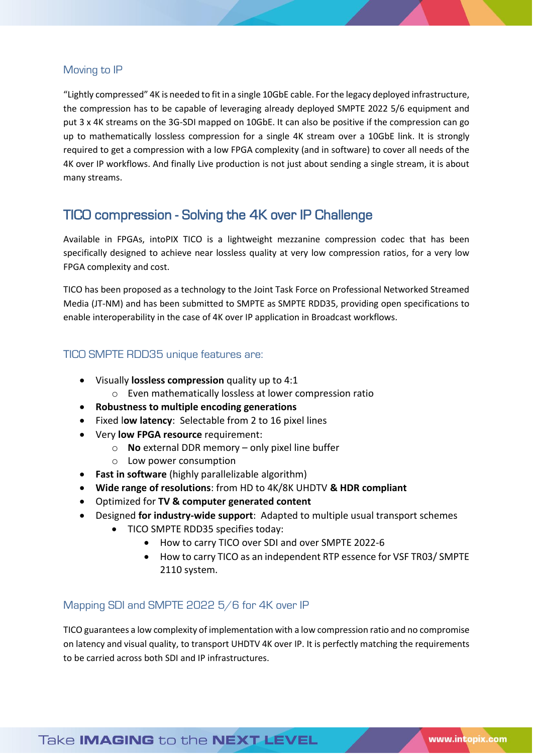#### Moving to IP

"Lightly compressed" 4K is needed to fit in a single 10GbE cable. For the legacy deployed infrastructure, the compression has to be capable of leveraging already deployed SMPTE 2022 5/6 equipment and put 3 x 4K streams on the 3G-SDI mapped on 10GbE. It can also be positive if the compression can go up to mathematically lossless compression for a single 4K stream over a 10GbE link. It is strongly required to get a compression with a low FPGA complexity (and in software) to cover all needs of the 4K over IP workflows. And finally Live production is not just about sending a single stream, it is about many streams.

## TICO compression - Solving the 4K over IP Challenge

Available in FPGAs, intoPIX TICO is a lightweight mezzanine compression codec that has been specifically designed to achieve near lossless quality at very low compression ratios, for a very low FPGA complexity and cost.

TICO has been proposed as a technology to the Joint Task Force on Professional Networked Streamed Media (JT-NM) and has been submitted to SMPTE as SMPTE RDD35, providing open specifications to enable interoperability in the case of 4K over IP application in Broadcast workflows.

#### TICO SMPTE RDD35 unique features are:

- Visually **lossless compression** quality up to 4:1 o Even mathematically lossless at lower compression ratio
- **Robustness to multiple encoding generations**
- Fixed l**ow latency**: Selectable from 2 to 16 pixel lines
- Very **low FPGA resource** requirement:
	- o **No** external DDR memory only pixel line buffer
	- o Low power consumption
- **Fast in software** (highly parallelizable algorithm)
- **Wide range of resolutions**: from HD to 4K/8K UHDTV **& HDR compliant**
- Optimized for **TV & computer generated content**
- Designed **for industry-wide support**: Adapted to multiple usual transport schemes
	- TICO SMPTE RDD35 specifies today:
		- How to carry TICO over SDI and over SMPTE 2022-6
		- How to carry TICO as an independent RTP essence for VSF TR03/ SMPTE 2110 system.

#### Mapping SDI and SMPTE 2022 5/6 for 4K over IP

TICO guarantees a low complexity of implementation with a low compression ratio and no compromise on latency and visual quality, to transport UHDTV 4K over IP. It is perfectly matching the requirements to be carried across both SDI and IP infrastructures.